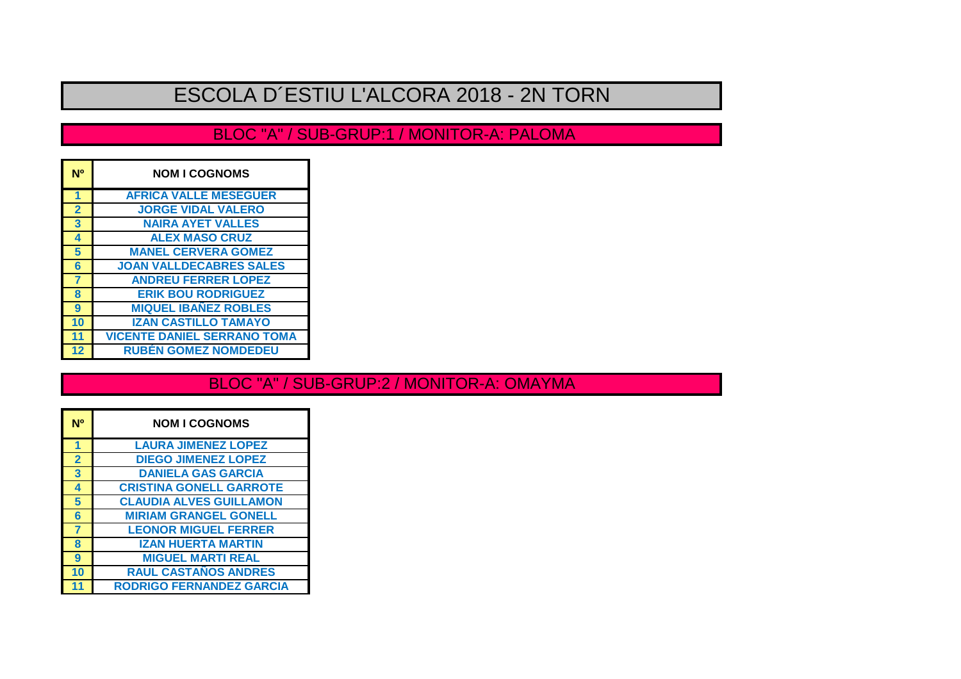# ESCOLA D´ESTIU L'ALCORA 2018 - 2N TORN

### BLOC "A" / SUB-GRUP:1 / MONITOR-A: PALOMA

| N <sup>o</sup> | <b>NOM I COGNOMS</b>               |
|----------------|------------------------------------|
| 1              | <b>AFRICA VALLE MESEGUER</b>       |
| $\overline{2}$ | <b>JORGE VIDAL VALERO</b>          |
| 3              | <b>NAIRA AYET VALLES</b>           |
| 4              | <b>ALEX MASO CRUZ</b>              |
| 5              | <b>MANEL CERVERA GOMEZ</b>         |
| 6              | <b>JOAN VALLDECABRES SALES</b>     |
| 7              | <b>ANDREU FERRER LOPEZ</b>         |
| 8              | <b>ERIK BOU RODRIGUEZ</b>          |
| 9              | <b>MIQUEL IBAÑEZ ROBLES</b>        |
| 10             | <b>IZAN CASTILLO TAMAYO</b>        |
| 11             | <b>VICENTE DANIEL SERRANO TOMA</b> |
| 12             | <b>RUBÉN GOMEZ NOMDEDEU</b>        |

#### BLOC "A" / SUB-GRUP:2 / MONITOR-A: OMAYMA

| N <sup>o</sup>          | <b>NOM I COGNOMS</b>            |
|-------------------------|---------------------------------|
| 1                       | <b>LAURA JIMENEZ LOPEZ</b>      |
| $\overline{2}$          | <b>DIEGO JIMENEZ LOPEZ</b>      |
| $\mathbf{3}$            | <b>DANIELA GAS GARCIA</b>       |
| $\overline{\mathbf{A}}$ | <b>CRISTINA GONELL GARROTE</b>  |
| 5                       | <b>CLAUDIA ALVES GUILLAMON</b>  |
| 6                       | <b>MIRIAM GRANGEL GONELL</b>    |
| 7                       | <b>LEONOR MIGUEL FERRER</b>     |
| 8                       | <b>IZAN HUERTA MARTIN</b>       |
| 9                       | <b>MIGUEL MARTI REAL</b>        |
| 10                      | <b>RAUL CASTAÑOS ANDRES</b>     |
| 11                      | <b>RODRIGO FERNANDEZ GARCIA</b> |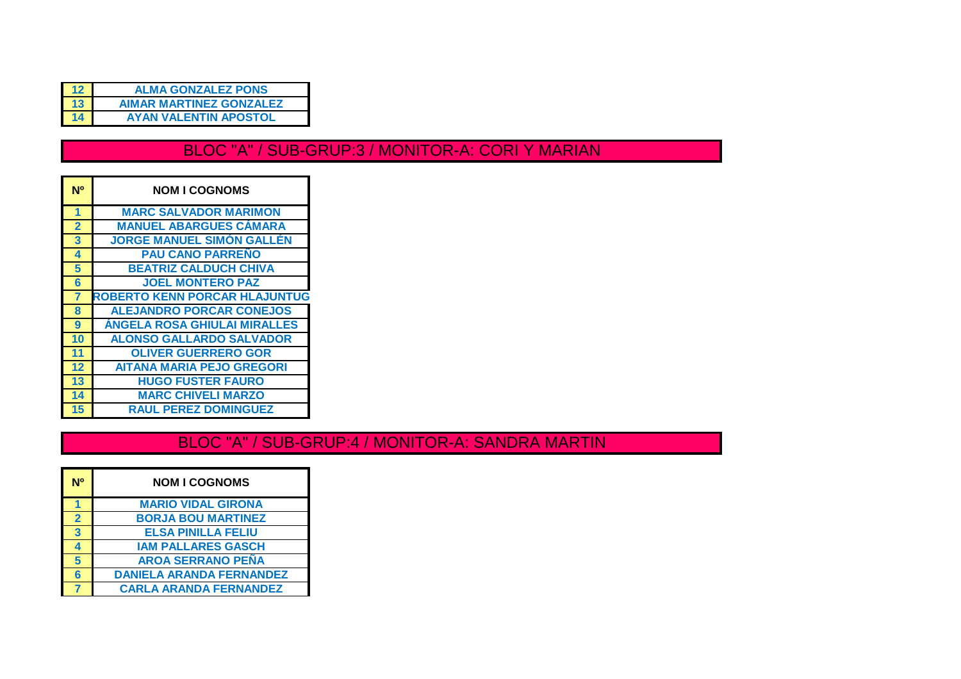| 19 | <b>ALMA GONZALEZ PONS</b>      |
|----|--------------------------------|
| 13 | <b>AIMAR MARTINEZ GONZALEZ</b> |
| 14 | <b>AYAN VALENTIN APOSTOL</b>   |

### BLOC "A" / SUB-GRUP:3 / MONITOR-A: CORI Y MARIAN

| N <sup>o</sup> | <b>NOM I COGNOMS</b>                 |
|----------------|--------------------------------------|
| 1              | <b>MARC SALVADOR MARIMON</b>         |
| $\overline{2}$ | <b>MANUEL ABARGUES CAMARA</b>        |
| 3              | <b>JORGE MANUEL SIMÓN GALLÉN</b>     |
| 4              | <b>PAU CANO PARREÑO</b>              |
| 5              | <b>BEATRIZ CALDUCH CHIVA</b>         |
| 6              | <b>JOEL MONTERO PAZ</b>              |
| 7              | <b>ROBERTO KENN PORCAR HLAJUNTUG</b> |
| 8              | <b>ALEJANDRO PORCAR CONEJOS</b>      |
| 9              | <b>ANGELA ROSA GHIULAI MIRALLES</b>  |
| 10             | <b>ALONSO GALLARDO SALVADOR</b>      |
| 11             | <b>OLIVER GUERRERO GOR</b>           |
| 12             | <b>AITANA MARIA PEJO GREGORI</b>     |
| 13             | <b>HUGO FUSTER FAURO</b>             |
| 14             | <b>MARC CHIVELI MARZO</b>            |
| 15             | <b>RAUL PEREZ DOMINGUEZ</b>          |

#### BLOC "A" / SUB-GRUP:4 / MONITOR-A: SANDRA MARTIN

| N <sup>o</sup> | <b>NOM I COGNOMS</b>            |
|----------------|---------------------------------|
| 1              | <b>MARIO VIDAL GIRONA</b>       |
| $\overline{2}$ | <b>BORJA BOU MARTINEZ</b>       |
| 3              | <b>ELSA PINILLA FELIU</b>       |
| 4              | <b>IAM PALLARES GASCH</b>       |
| 5              | <b>AROA SERRANO PEÑA</b>        |
| 6              | <b>DANIELA ARANDA FERNANDEZ</b> |
|                | <b>CARLA ARANDA FERNANDEZ</b>   |